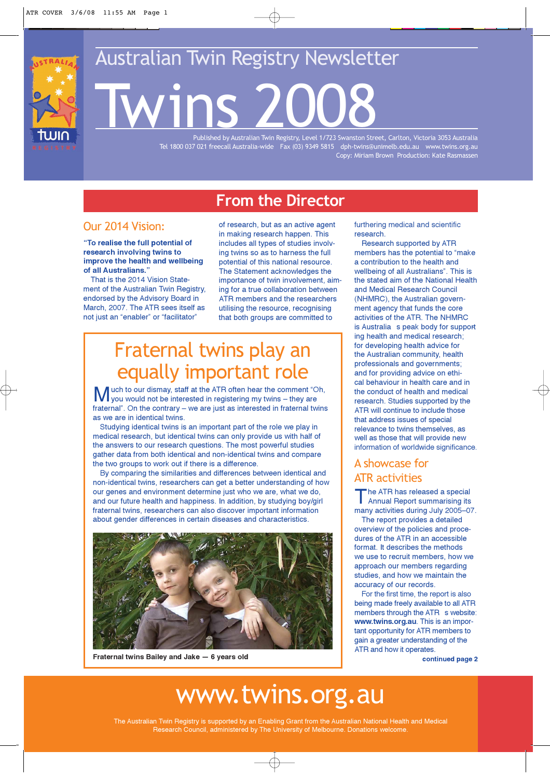

# **Australian Twin Registry Newsletter** Published by Australian Twin Registry, Level 1/723 Swanston Street, Carlton, Victoria 3053 Australia

Tel 1800 037 021 freecall Australia-wide Fax (03) 9349 5815 dph-twins@unimelb.edu.au www.twins.org.au Copy: Miriam Brown Production: Kate Rasmassen

### **From the Director**

### Our 2014 Vision:

**"To realise the full potential of research involving twins to improve the health and wellbeing of all Australians."**

That is the 2014 Vision Statement of the Australian Twin Registry, endorsed by the Advisory Board in March, 2007. The ATR sees itself as not just an "enabler" or "facilitator"

of research, but as an active agent in making research happen. This includes all types of studies involving twins so as to harness the full potential of this national resource. The Statement acknowledges the importance of twin involvement, aiming for a true collaboration between ATR members and the researchers utilising the resource, recognising that both groups are committed to

## Fraternal twins play an **equally important role**<br>uch to our dismay, staff at the ATR often hear the comment "Oh.

Much to our dismay, staff at the ATR often hear the comment "Oh, you would not be interested in registering my twins – they are fraternal". On the contrary – we are just as interested in fraternal twins as we are in identical twins.

Studying identical twins is an important part of the role we play in medical research, but identical twins can only provide us with half of the answers to our research questions. The most powerful studies gather data from both identical and non-identical twins and compare the two groups to work out if there is a difference.

By comparing the similarities and differences between identical and non-identical twins, researchers can get a better understanding of how our genes and environment determine just who we are, what we do, and our future health and happiness. In addition, by studying boy/girl fraternal twins, researchers can also discover important information about gender differences in certain diseases and characteristics.



**Fraternal twins Bailey and Jake — 6 years old**

furthering medical and scientific research.

Research supported by ATR members has the potential to "make a contribution to the health and wellbeing of all Australians". This is the stated aim of the National Health and Medical Research Council (NHMRC), the Australian government agency that funds the core activities of the ATR. The NHMRC is Australia s peak body for support ing health and medical research; for developing health advice for the Australian community, health professionals and governments; and for providing advice on ethical behaviour in health care and in the conduct of health and medical research. Studies supported by the ATR will continue to include those that address issues of special relevance to twins themselves, as well as those that will provide new information of worldwide significance.

### A showcase for ATR activities

The ATR has released a special<br>Annual Report summarising its many activities during July 2005–07.

The report provides a detailed overview of the policies and procedures of the ATR in an accessible format. It describes the methods we use to recruit members, how we approach our members regarding studies, and how we maintain the accuracy of our records.

For the first time, the report is also being made freely available to all ATR members through the ATR s website: **www.twins.org.au**. This is an important opportunity for ATR members to gain a greater understanding of the ATR and how it operates.

**continued page 2**

## www.twins.org.au

The Australian Twin Registry is supported by an Enabling Grant from the Australian National Health and Medical Research Council, administered by The University of Melbourne. Donations welcome.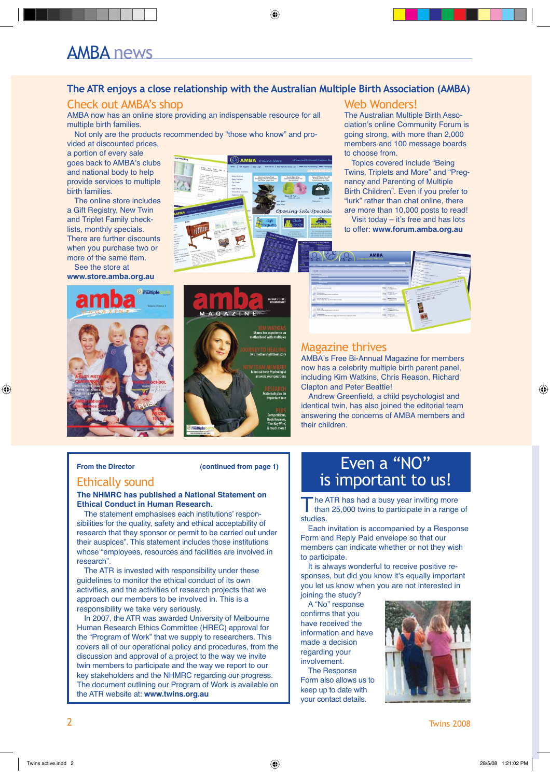### AMBA news

### **The ATR enjoys a close relationship with the Australian Multiple Birth Association (AMBA)**

◈

### Check out AMBA's shop

AMBA now has an online store providing an indispensable resource for all multiple birth families.

Not only are the products recommended by "those who know" and provided at discounted prices,

a portion of every sale goes back to AMBA's clubs and national body to help provide services to multiple birth families.

The online store includes a Gift Registry, New Twin and Triplet Family checklists, monthly specials. There are further discounts when you purchase two or more of the same item.

See the store at **www.store.amba.org.au**





### Web Wonders!

The Australian Multiple Birth Association's online Community Forum is going strong, with more than 2,000 members and 100 message boards to choose from.

Topics covered include "Being Twins, Triplets and More" and "Pregnancy and Parenting of Multiple Birth Children". Even if you prefer to "lurk" rather than chat online, there are more than 10,000 posts to read!

Visit today – it's free and has lots to offer: **www.forum.amba.org.au**



### Magazine thrives

AMBA's Free Bi-Annual Magazine for members now has a celebrity multiple birth parent panel, including Kim Watkins, Chris Reason, Richard Clapton and Peter Beattie!

Andrew Greenfield, a child psychologist and identical twin, has also joined the editorial team answering the concerns of AMBA members and their children.

⊕

### **From the Director (continued from page 1)**

### Ethically sound

**The NHMRC has published a National Statement on Ethical Conduct in Human Research.** 

The statement emphasises each institutions' responsibilities for the quality, safety and ethical acceptability of research that they sponsor or permit to be carried out under their auspices". This statement includes those institutions whose "employees, resources and facilities are involved in research".

The ATR is invested with responsibility under these guidelines to monitor the ethical conduct of its own activities, and the activities of research projects that we approach our members to be involved in. This is a responsibility we take very seriously.

In 2007, the ATR was awarded University of Melbourne Human Research Ethics Committee (HREC) approval for the "Program of Work" that we supply to researchers. This covers all of our operational policy and procedures, from the discussion and approval of a project to the way we invite twin members to participate and the way we report to our key stakeholders and the NHMRC regarding our progress. The document outlining our Program of Work is available on the ATR website at: **www.twins.org.au**

### Even a "NO" is important to us!

The ATR has had a busy year inviting more<br>than 25,000 twins to participate in a range of studies.

Each invitation is accompanied by a Response Form and Reply Paid envelope so that our members can indicate whether or not they wish to participate.

It is always wonderful to receive positive responses, but did you know it's equally important you let us know when you are not interested in joining the study?

A "No" response confirms that you have received the information and have made a decision regarding your involvement.

The Response Form also allows us to keep up to date with your contact details.

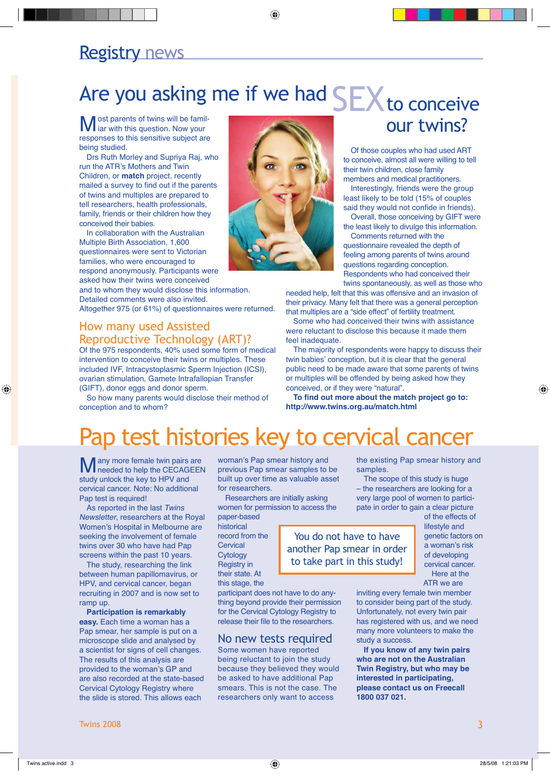## Are you asking me if we had SEX to conceive

◈

Most parents of twins will be famil-iar with this question. Now your responses to this sensitive subject are being studied.

Drs Ruth Morley and Supriya Raj, who run the ATR's Mothers and Twin Children, or **match** project, recently mailed a survey to find out if the parents of twins and multiples are prepared to tell researchers, health professionals, family, friends or their children how they conceived their babies.

In collaboration with the Australian Multiple Birth Association, 1,600 questionnaires were sent to Victorian families, who were encouraged to respond anonymously. Participants were asked how their twins were conceived

and to whom they would disclose this information. Detailed comments were also invited.

Altogether 975 (or 61%) of questionnaires were returned.

### How many used Assisted Reproductive Technology (ART)?

Of the 975 respondents, 40% used some form of medical intervention to conceive their twins or multiples. These included IVF, Intracystoplasmic Sperm Injection (ICSI), ovarian stimulation, Gamete Intrafallopian Transfer (GIFT), donor eggs and donor sperm.

So how many parents would disclose their method of conception and to whom?



## our twins?

Of those couples who had used ART to conceive, almost all were willing to tell their twin children, close family members and medical practitioners.

Interestingly, friends were the group least likely to be told (15% of couples said they would not confide in friends).

Overall, those conceiving by GIFT were the least likely to divulge this information.

Comments returned with the questionnaire revealed the depth of feeling among parents of twins around questions regarding conception. Respondents who had conceived their twins spontaneously, as well as those who

needed help, felt that this was offensive and an invasion of their privacy. Many felt that there was a general perception that multiples are a "side effect" of fertility treatment.

Some who had conceived their twins with assistance were reluctant to disclose this because it made them feel inadequate.

The majority of respondents were happy to discuss their twin babies' conception, but it is clear that the general public need to be made aware that some parents of twins or multiples will be offended by being asked how they conceived, or if they were "natural".

To find out more about the match project go to: http://www.twins.org.au/match.html

◈

## Pap test histories key to cervical cancer

Many more female twin pairs are<br>
Maneeded to help the CECAGEEN study unlock the key to HPV and cervical cancer. Note: No additional Pap test is required!

As reported in the last Twins Newsletter, researchers at the Royal Women's Hospital in Melbourne are seeking the involvement of female twins over 30 who have had Pap screens within the past 10 years.

The study, researching the link between human papillomavirus, or HPV, and cervical cancer, began recruiting in 2007 and is now set to ramp up.

**Participation is remarkably easy.** Each time a woman has a

Pap smear, her sample is put on a microscope slide and analysed by a scientist for signs of cell changes. The results of this analysis are provided to the woman's GP and are also recorded at the state-based Cervical Cytology Registry where the slide is stored. This allows each

woman's Pap smear history and previous Pap smear samples to be built up over time as valuable asset for researchers.

Researchers are initially asking women for permission to access the

participant does not have to do anything beyond provide their permission for the Cervical Cytology Registry to release their file to the researchers. No new tests required Some women have reported being reluctant to join the study because they believed they would be asked to have additional Pap smears. This is not the case. The researchers only want to access

paper-based historical record from the **Cervical Cytology** Registry in their state. At this stage, the

You do not have to have another Pap smear in order to take part in this study!

the existing Pap smear history and samples.

The scope of this study is huge – the researchers are looking for a very large pool of women to participate in order to gain a clear picture

> of the effects of lifestyle and genetic factors on a woman's risk of developing cervical cancer. Here at the ATR we are

inviting every female twin member to consider being part of the study. Unfortunately, not every twin pair has registered with us, and we need many more volunteers to make the study a success.

**If you know of any twin pairs who are not on the Australian Twin Registry, but who may be interested in participating, please contact us on Freecall 1800 037 021.**

Twins 2008  $\sim$  3  $\sim$  3  $\sim$  3  $\sim$  3  $\sim$  3  $\sim$  3  $\sim$  3  $\sim$  3  $\sim$  3  $\sim$  3  $\sim$  3  $\sim$  3  $\sim$  3  $\sim$  3  $\sim$  3  $\sim$  3  $\sim$  3  $\sim$  3  $\sim$  3  $\sim$  3  $\sim$  3  $\sim$  3  $\sim$  3  $\sim$  3  $\sim$  3  $\sim$  3  $\sim$  3  $\sim$  3  $\sim$  3  $\sim$  3

⊕

Twins active.indd  $3$  28/5/08 1:21:03 PM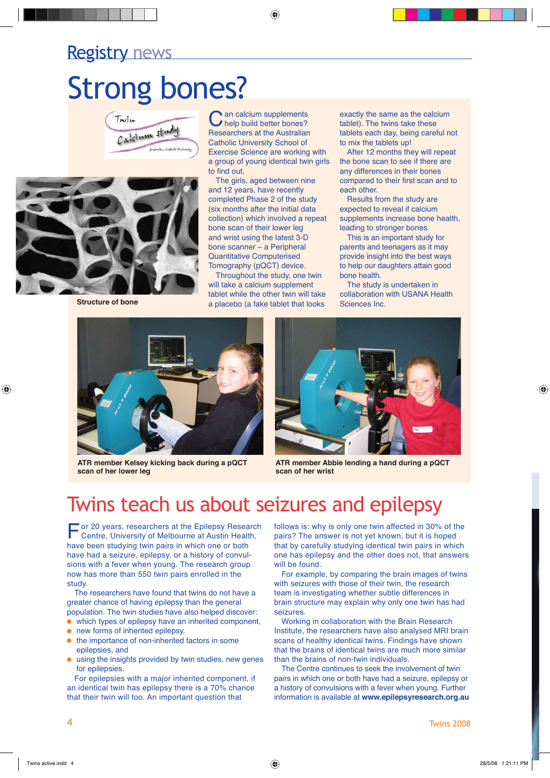## Strong bones?





**Structure of bone**

◈

 $\sum$  an calcium supplements<br>
help build better bones? Researchers at the Australian Catholic University School of Exercise Science are working with a group of young identical twin girls to find out.

 $\bigcirc$ 

The girls, aged between nine and 12 years, have recently completed Phase 2 of the study (six months after the initial data collection) which involved a repeat bone scan of their lower leg and wrist using the latest 3-D bone scanner – a Peripheral Quantitative Computerised Tomography (pQCT) device.

Throughout the study, one twin will take a calcium supplement tablet while the other twin will take a placebo (a fake tablet that looks

exactly the same as the calcium tablet). The twins take these tablets each day, being careful not to mix the tablets up!

After 12 months they will repeat the bone scan to see if there are any differences in their bones compared to their first scan and to each other.

Results from the study are expected to reveal if calcium supplements increase bone health. leading to stronger bones.

This is an important study for parents and teenagers as it may provide insight into the best ways to help our daughters attain good bone health.

The study is undertaken in collaboration with USANA Health Sciences Inc.



**ATR member Kelsey kicking back during a pQCT scan of her lower leg**



**ATR member Abbie lending a hand during a pQCT scan of her wrist**

## Twins teach us about seizures and epilepsy

or 20 years, researchers at the Epilepsy Research Centre, University of Melbourne at Austin Health, have been studying twin pairs in which one or both have had a seizure, epilepsy, or a history of convulsions with a fever when young. The research group now has more than 550 twin pairs enrolled in the study.

The researchers have found that twins do not have a greater chance of having epilepsy than the general population. The twin studies have also helped discover:

- which types of epilepsy have an inherited component,
- new forms of inherited epilepsy,
- the importance of non-inherited factors in some epilepsies, and
- using the insights provided by twin studies, new genes for epilepsies.

For epilepsies with a major inherited component, if an identical twin has epilepsy there is a 70% chance that their twin will too. An important question that

follows is: why is only one twin affected in 30% of the pairs? The answer is not yet known, but it is hoped that by carefully studying identical twin pairs in which one has epilepsy and the other does not, that answers will be found.

For example, by comparing the brain images of twins with seizures with those of their twin, the research team is investigating whether subtle differences in brain structure may explain why only one twin has had seizures.

Working in collaboration with the Brain Research Institute, the researchers have also analysed MRI brain scans of healthy identical twins. Findings have shown that the brains of identical twins are much more similar than the brains of non-twin individuals.

The Centre continues to seek the involvement of twin pairs in which one or both have had a seizure, epilepsy or a history of convulsions with a fever when young. Further information is available at **www.epilepsyresearch.org.au**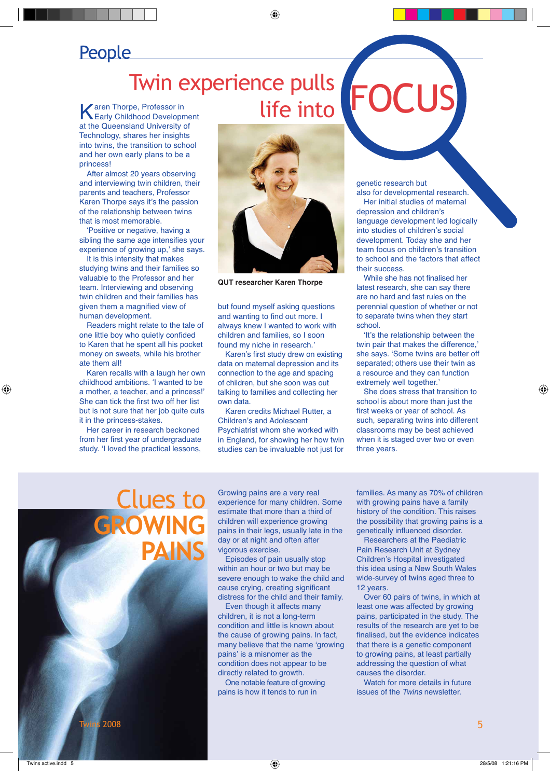### **People**

### Twin experience pulls life into FOCUS

◈

Karen Thorpe, Professor in Early Childhood Development at the Queensland University of Technology, shares her insights into twins, the transition to school and her own early plans to be a princess!

After almost 20 years observing and interviewing twin children, their parents and teachers, Professor Karen Thorpe says it's the passion of the relationship between twins that is most memorable.

'Positive or negative, having a sibling the same age intensifies your experience of growing up,' she says.

It is this intensity that makes studying twins and their families so valuable to the Professor and her team. Interviewing and observing twin children and their families has given them a magnified view of human development.

Readers might relate to the tale of one little boy who quietly confided to Karen that he spent all his pocket money on sweets, while his brother ate them all!

Karen recalls with a laugh her own childhood ambitions. 'I wanted to be a mother, a teacher, and a princess!' She can tick the first two off her list but is not sure that her job quite cuts it in the princess-stakes.

Her career in research beckoned from her first year of undergraduate study. 'I loved the practical lessons,



**QUT researcher Karen Thorpe**

but found myself asking questions and wanting to find out more. I always knew I wanted to work with children and families, so I soon found my niche in research.'

Karen's first study drew on existing data on maternal depression and its connection to the age and spacing of children, but she soon was out talking to families and collecting her own data.

Karen credits Michael Rutter, a Children's and Adolescent Psychiatrist whom she worked with in England, for showing her how twin studies can be invaluable not just for genetic research but

also for developmental research. Her initial studies of maternal depression and children's language development led logically into studies of children's social development. Today she and her team focus on children's transition to school and the factors that affect their success.

While she has not finalised her latest research, she can say there are no hard and fast rules on the perennial question of whether or not to separate twins when they start school.

'It's the relationship between the twin pair that makes the difference,' she says. 'Some twins are better off separated; others use their twin as a resource and they can function extremely well together.'

She does stress that transition to school is about more than just the first weeks or year of school. As such, separating twins into different classrooms may be best achieved when it is staged over two or even three years.

Clues to **GROWING PAINS**

Growing pains are a very real experience for many children. Some estimate that more than a third of children will experience growing pains in their legs, usually late in the day or at night and often after vigorous exercise.

Episodes of pain usually stop within an hour or two but may be severe enough to wake the child and cause crying, creating significant distress for the child and their family.

Even though it affects many children, it is not a long-term condition and little is known about the cause of growing pains. In fact, many believe that the name 'growing pains' is a misnomer as the condition does not appear to be directly related to growth.

One notable feature of growing pains is how it tends to run in

families. As many as 70% of children with growing pains have a family history of the condition. This raises the possibility that growing pains is a genetically influenced disorder.

Researchers at the Paediatric Pain Research Unit at Sydney Children's Hospital investigated this idea using a New South Wales wide-survey of twins aged three to 12 years.

Over 60 pairs of twins, in which at least one was affected by growing pains, participated in the study. The results of the research are yet to be finalised, but the evidence indicates that there is a genetic component to growing pains, at least partially addressing the question of what causes the disorder.

Watch for more details in future issues of the Twins newsletter.

Twins 2008  $\overline{\phantom{0}}$  5  $\overline{\phantom{0}}$  5  $\overline{\phantom{0}}$  5  $\overline{\phantom{0}}$  5  $\overline{\phantom{0}}$  5  $\overline{\phantom{0}}$  5  $\overline{\phantom{0}}$  5  $\overline{\phantom{0}}$  5  $\overline{\phantom{0}}$  5  $\overline{\phantom{0}}$  5  $\overline{\phantom{0}}$  5  $\overline{\phantom{0}}$  5  $\overline{\phantom{0}}$  5  $\overline{\phantom{0}}$  5  $\overline{\phantom{0}}$  5

◈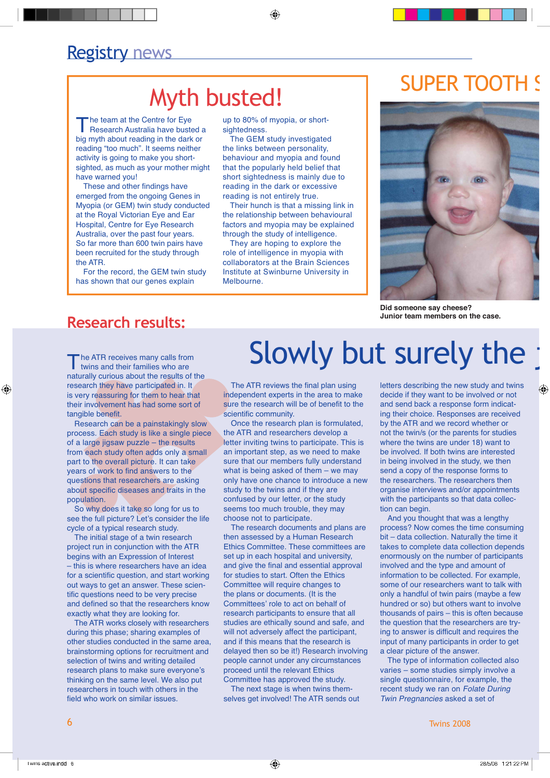## Myth busted!

The team at the Centre for Eye<br>Research Australia have busted a big myth about reading in the dark or reading "too much". It seems neither activity is going to make you shortsighted, as much as your mother might have warned you!

These and other findings have emerged from the ongoing Genes in Myopia (or GEM) twin study conducted at the Royal Victorian Eye and Ear Hospital, Centre for Eye Research Australia, over the past four years. So far more than 600 twin pairs have been recruited for the study through the ATR.

For the record, the GEM twin study has shown that our genes explain

up to 80% of myopia, or shortsightedness.

◈

The GEM study investigated the links between personality, behaviour and myopia and found that the popularly held belief that short sightedness is mainly due to reading in the dark or excessive reading is not entirely true.

Their hunch is that a missing link in the relationship between behavioural factors and myopia may be explained through the study of intelligence.

They are hoping to explore the role of intelligence in myopia with collaborators at the Brain Sciences Institute at Swinburne University in Melbourne.

## **SUPER TOOTH S**



**Did someone say cheese? Junior team members on the case.**

### **Research results:**

he ATR receives many calls from twins and their families who are naturally curious about the results of the research they have participated in. It is very reassuring for them to hear that their involvement has had some sort of tangible benefit.

Research can be a painstakingly slow process. Each study is like a single piece of a large jigsaw puzzle – the results from each study often adds only a small part to the overall picture. It can take years of work to find answers to the questions that researchers are asking about specific diseases and traits in the population.

So why does it take so long for us to see the full picture? Let's consider the life cycle of a typical research study.

The initial stage of a twin research project run in conjunction with the ATR begins with an Expression of Interest – this is where researchers have an idea for a scientific question, and start working out ways to get an answer. These scientific questions need to be very precise and defined so that the researchers know exactly what they are looking for.

The ATR works closely with researchers during this phase; sharing examples of other studies conducted in the same area, brainstorming options for recruitment and selection of twins and writing detailed research plans to make sure everyone's thinking on the same level. We also put researchers in touch with others in the field who work on similar issues.

## Slowly but surely the

The ATR reviews the final plan using independent experts in the area to make sure the research will be of benefit to the scientific community.

Once the research plan is formulated, the ATR and researchers develop a letter inviting twins to participate. This is an important step, as we need to make sure that our members fully understand what is being asked of them – we may only have one chance to introduce a new study to the twins and if they are confused by our letter, or the study seems too much trouble, they may choose not to participate.

The research documents and plans are then assessed by a Human Research Ethics Committee. These committees are set up in each hospital and university, and give the final and essential approval for studies to start. Often the Ethics Committee will require changes to the plans or documents. (It is the Committees' role to act on behalf of research participants to ensure that all studies are ethically sound and safe, and will not adversely affect the participant, and if this means that the research is delayed then so be it!) Research involving people cannot under any circumstances proceed until the relevant Ethics Committee has approved the study.

The next stage is when twins themselves get involved! The ATR sends out

# letters describing the new study and twins

decide if they want to be involved or not and send back a response form indicating their choice. Responses are received by the ATR and we record whether or not the twin/s (or the parents for studies where the twins are under 18) want to be involved. If both twins are interested in being involved in the study, we then send a copy of the response forms to the researchers. The researchers then organise interviews and/or appointments with the participants so that data collection can begin.

◈

And you thought that was a lengthy process? Now comes the time consuming bit – data collection. Naturally the time it takes to complete data collection depends enormously on the number of participants involved and the type and amount of information to be collected. For example, some of our researchers want to talk with only a handful of twin pairs (maybe a few hundred or so) but others want to involve thousands of pairs – this is often because the question that the researchers are trying to answer is difficult and requires the input of many participants in order to get a clear picture of the answer.

The type of information collected also varies – some studies simply involve a single questionnaire, for example, the recent study we ran on Folate During Twin Pregnancies asked a set of

 $\overline{\phantom{a}}$  5  $\overline{\phantom{a}}$  Twins 2008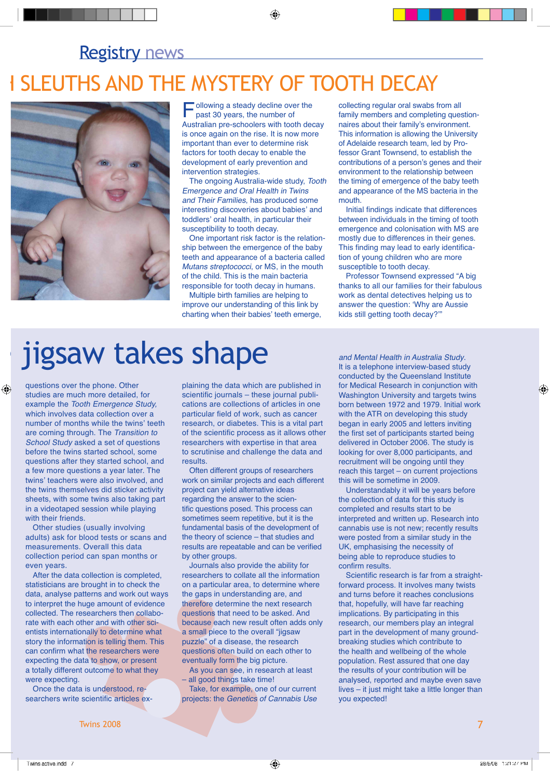## SLEUTHS AND THE MYSTERY OF TOOTH DECAY



ollowing a steady decline over the past 30 years, the number of Australian pre-schoolers with tooth decay is once again on the rise. It is now more important than ever to determine risk factors for tooth decay to enable the development of early prevention and intervention strategies.

◈

The ongoing Australia-wide study, Tooth Emergence and Oral Health in Twins and Their Families, has produced some interesting discoveries about babies' and toddlers' oral health, in particular their susceptibility to tooth decay.

One important risk factor is the relationship between the emergence of the baby teeth and appearance of a bacteria called Mutans streptococci, or MS, in the mouth of the child. This is the main bacteria responsible for tooth decay in humans.

Multiple birth families are helping to improve our understanding of this link by charting when their babies' teeth emerge, collecting regular oral swabs from all family members and completing questionnaires about their family's environment. This information is allowing the University of Adelaide research team, led by Professor Grant Townsend, to establish the contributions of a person's genes and their environment to the relationship between the timing of emergence of the baby teeth and appearance of the MS bacteria in the mouth.

Initial findings indicate that differences between individuals in the timing of tooth emergence and colonisation with MS are mostly due to differences in their genes. This finding may lead to early identification of young children who are more susceptible to tooth decay.

Professor Townsend expressed "A big thanks to all our families for their fabulous work as dental detectives helping us to answer the question: 'Why are Aussie kids still getting tooth decay?'"

## jigsaw takes shape

questions over the phone. Other studies are much more detailed, for example the Tooth Emergence Study, which involves data collection over a number of months while the twins' teeth are coming through. The Transition to School Study asked a set of questions before the twins started school, some questions after they started school, and a few more questions a year later. The twins' teachers were also involved, and the twins themselves did sticker activity sheets, with some twins also taking part in a videotaped session while playing with their friends.

◈

Other studies (usually involving adults) ask for blood tests or scans and measurements. Overall this data collection period can span months or even years.

After the data collection is completed, statisticians are brought in to check the data, analyse patterns and work out ways to interpret the huge amount of evidence collected. The researchers then collaborate with each other and with other scientists internationally to determine what story the information is telling them. This can confirm what the researchers were expecting the data to show, or present a totally different outcome to what they were expecting.

Once the data is understood, researchers write scientific articles ex-

Twins 2008 **7 The Contract of Contract Contract of Contract Contract Contract Contract Contract Contract Contract Contract Contract Contract Contract Contract Contract Contract Contract Contract Contract Contract Contrac** 

plaining the data which are published in scientific journals - these journal publications are collections of articles in one particular field of work, such as cancer research, or diabetes. This is a vital part of the scientific process as it allows other researchers with expertise in that area to scrutinise and challenge the data and results.

Often different groups of researchers work on similar projects and each different project can yield alternative ideas regarding the answer to the scientific questions posed. This process can sometimes seem repetitive, but it is the fundamental basis of the development of the theory of science – that studies and results are repeatable and can be verified by other groups.

Journals also provide the ability for researchers to collate all the information on a particular area, to determine where the gaps in understanding are, and therefore determine the next research questions that need to be asked. And because each new result often adds only a small piece to the overall "jigsaw puzzle" of a disease, the research questions often build on each other to eventually form the big picture.

As you can see, in research at least – all good things take time!

Take, for example, one of our current projects: the Genetics of Cannabis Use

and Mental Health in Australia Study. It is a telephone interview-based study conducted by the Queensland Institute for Medical Research in conjunction with Washington University and targets twins born between 1972 and 1979. Initial work with the ATR on developing this study began in early 2005 and letters inviting the first set of participants started being delivered in October 2006. The study is looking for over 8,000 participants, and recruitment will be ongoing until they reach this target – on current projections this will be sometime in 2009.

Understandably it will be years before the collection of data for this study is completed and results start to be interpreted and written up. Research into cannabis use is not new; recently results were posted from a similar study in the UK, emphasising the necessity of being able to reproduce studies to confirm results.

Scientific research is far from a straightforward process. It involves many twists and turns before it reaches conclusions that, hopefully, will have far reaching implications. By participating in this research, our members play an integral part in the development of many groundbreaking studies which contribute to the health and wellbeing of the whole population. Rest assured that one day the results of your contribution will be analysed, reported and maybe even save lives – it just might take a little longer than you expected!

◈

 $\bigcirc$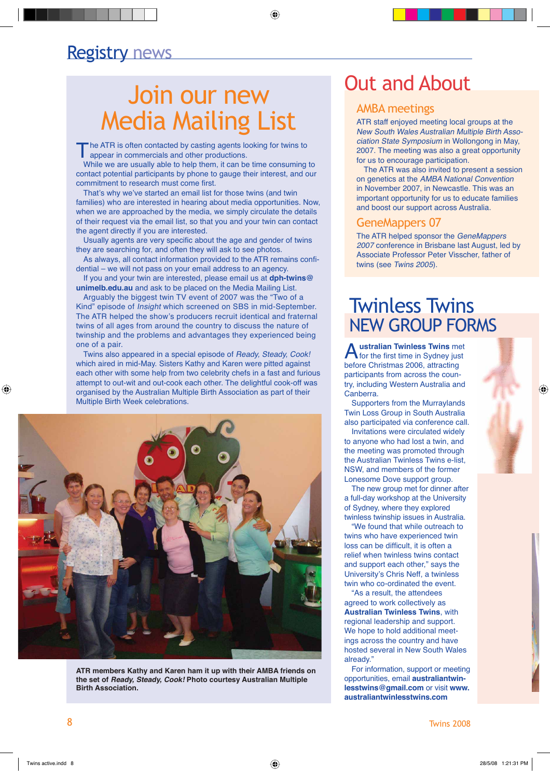## Join our new Media Mailing List

 $\bigcirc$ 

The ATR is often contacted by casting agents looking for twins to **appear in commercials and other productions.** 

While we are usually able to help them, it can be time consuming to contact potential participants by phone to gauge their interest, and our commitment to research must come first.

That's why we've started an email list for those twins (and twin families) who are interested in hearing about media opportunities. Now, when we are approached by the media, we simply circulate the details of their request via the email list, so that you and your twin can contact the agent directly if you are interested.

Usually agents are very specific about the age and gender of twins they are searching for, and often they will ask to see photos.

As always, all contact information provided to the ATR remains confidential – we will not pass on your email address to an agency.

If you and your twin are interested, please email us at **dph-twins@ unimelb.edu.au** and ask to be placed on the Media Mailing List.

Arguably the biggest twin TV event of 2007 was the "Two of a Kind" episode of Insight which screened on SBS in mid-September. The ATR helped the show's producers recruit identical and fraternal twins of all ages from around the country to discuss the nature of twinship and the problems and advantages they experienced being one of a pair.

Twins also appeared in a special episode of Ready, Steady, Cook! which aired in mid-May. Sisters Kathy and Karen were pitted against each other with some help from two celebrity chefs in a fast and furious attempt to out-wit and out-cook each other. The delightful cook-off was organised by the Australian Multiple Birth Association as part of their Multiple Birth Week celebrations.



**ATR members Kathy and Karen ham it up with their AMBA friends on the set of Ready, Steady, Cook! Photo courtesy Australian Multiple Birth Association.**

## Out and About

### AMBA meetings

ATR staff enjoyed meeting local groups at the New South Wales Australian Multiple Birth Association State Symposium in Wollongong in May, 2007. The meeting was also a great opportunity for us to encourage participation.

The ATR was also invited to present a session on genetics at the AMBA National Convention in November 2007, in Newcastle. This was an important opportunity for us to educate families and boost our support across Australia.

### GeneMappers 07

The ATR helped sponsor the GeneMappers 2007 conference in Brisbane last August, led by Associate Professor Peter Visscher, father of twins (see Twins 2005).

### NEW GROUP FORMS Twinless Twins

**A** ustralian Twinless Twins met<br>**A** for the first time in Sydney just before Christmas 2006, attracting participants from across the country, including Western Australia and Canberra.

Supporters from the Murraylands Twin Loss Group in South Australia also participated via conference call.

Invitations were circulated widely to anyone who had lost a twin, and the meeting was promoted through the Australian Twinless Twins e-list, NSW, and members of the former Lonesome Dove support group.

The new group met for dinner after a full-day workshop at the University of Sydney, where they explored twinless twinship issues in Australia.

"We found that while outreach to twins who have experienced twin loss can be difficult, it is often a relief when twinless twins contact and support each other," says the University's Chris Neff, a twinless twin who co-ordinated the event.

"As a result, the attendees agreed to work collectively as **Australian Twinless Twins**, with regional leadership and support. We hope to hold additional meetings across the country and have hosted several in New South Wales already."

For information, support or meeting opportunities, email **australiantwinlesstwins@gmail.com** or visit **www. australiantwinlesstwins.com**



**8** Twins 2008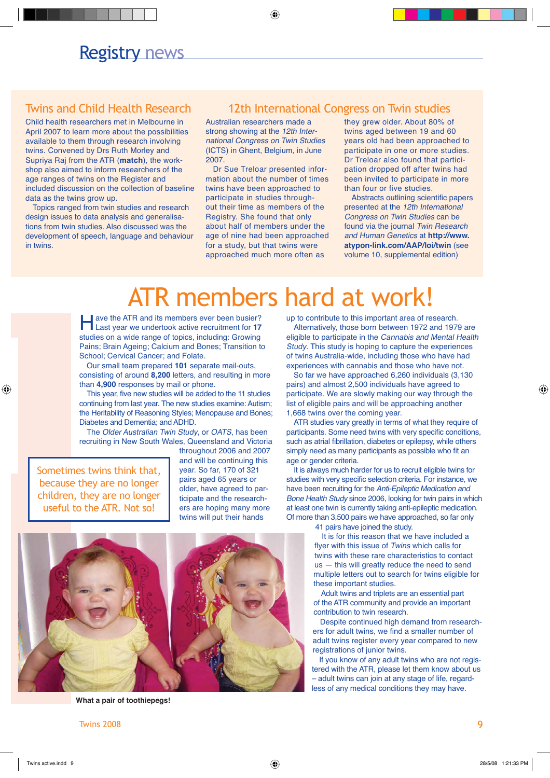### Twins and Child Health Research

Child health researchers met in Melbourne in April 2007 to learn more about the possibilities available to them through research involving twins. Convened by Drs Ruth Morley and Supriya Raj from the ATR (**match**), the workshop also aimed to inform researchers of the age ranges of twins on the Register and included discussion on the collection of baseline data as the twins grow up.

Topics ranged from twin studies and research design issues to data analysis and generalisations from twin studies. Also discussed was the development of speech, language and behaviour in twins.

### 12th International Congress on Twin studies

Australian researchers made a strong showing at the 12th International Congress on Twin Studies (ICTS) in Ghent, Belgium, in June 2007.

 $\bigcirc$ 

Dr Sue Treloar presented information about the number of times twins have been approached to participate in studies throughout their time as members of the Registry. She found that only about half of members under the age of nine had been approached for a study, but that twins were approached much more often as

they grew older. About 80% of twins aged between 19 and 60 years old had been approached to participate in one or more studies. Dr Treloar also found that participation dropped off after twins had been invited to participate in more than four or five studies.

Abstracts outlining scientific papers presented at the 12th International Congress on Twin Studies can be found via the journal Twin Research and Human Genetics at http://www. atypon-link.com/AAP/loi/twin (see volume 10, supplemental edition)

## ATR members hard at work!

Have the ATR and its members ever been busier? Last year we undertook active recruitment for **17** studies on a wide range of topics, including: Growing Pains; Brain Ageing; Calcium and Bones; Transition to School; Cervical Cancer; and Folate.

Our small team prepared **101** separate mail-outs, consisting of around **8,200** letters, and resulting in more than **4,900** responses by mail or phone.

This year, five new studies will be added to the 11 studies continuing from last year. The new studies examine: Autism; the Heritability of Reasoning Styles; Menopause and Bones; Diabetes and Dementia; and ADHD.

The Older Australian Twin Study, or OATS, has been recruiting in New South Wales, Queensland and Victoria

Sometimes twins think that, because they are no longer children, they are no longer useful to the ATR. Not so!

◈

throughout 2006 and 2007 and will be continuing this year. So far, 170 of 321 pairs aged 65 years or older, have agreed to participate and the researchers are hoping many more twins will put their hands

**What a pair of toothiepegs!**

Twins 2008 **9** 

up to contribute to this important area of research.

Alternatively, those born between 1972 and 1979 are eligible to participate in the Cannabis and Mental Health Study. This study is hoping to capture the experiences of twins Australia-wide, including those who have had experiences with cannabis and those who have not.

So far we have approached 6,260 individuals (3,130 pairs) and almost 2,500 individuals have agreed to participate. We are slowly making our way through the list of eligible pairs and will be approaching another 1,668 twins over the coming year.

ATR studies vary greatly in terms of what they require of participants. Some need twins with very specific conditions, such as atrial fibrillation, diabetes or epilepsy, while others simply need as many participants as possible who fit an age or gender criteria.

It is always much harder for us to recruit eligible twins for studies with very specific selection criteria. For instance, we have been recruiting for the Anti-Epileptic Medication and Bone Health Study since 2006, looking for twin pairs in which at least one twin is currently taking anti-epileptic medication. Of more than 3,500 pairs we have approached, so far only 41 pairs have joined the study.

> It is for this reason that we have included a flyer with this issue of Twins which calls for twins with these rare characteristics to contact us — this will greatly reduce the need to send multiple letters out to search for twins eligible for these important studies.

Adult twins and triplets are an essential part of the ATR community and provide an important contribution to twin research.

Despite continued high demand from researchers for adult twins, we find a smaller number of adult twins register every year compared to new registrations of junior twins.

If you know of any adult twins who are not registered with the ATR, please let them know about us – adult twins can join at any stage of life, regardless of any medical conditions they may have.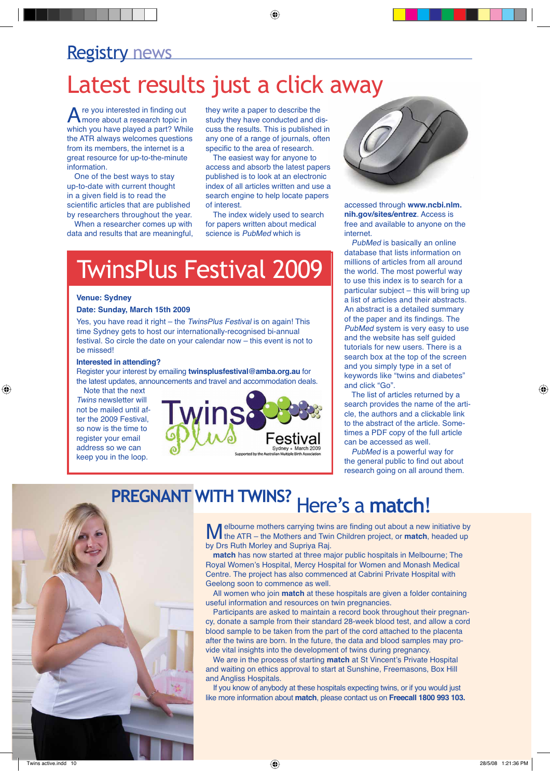## Latest results just a click away

A re you interested in finding out<br>A more about a research topic in which you have played a part? While the ATR always welcomes questions from its members, the internet is a great resource for up-to-the-minute information.

One of the best ways to stay up-to-date with current thought in a given field is to read the scientific articles that are published by researchers throughout the year.

When a researcher comes up with data and results that are meaningful, they write a paper to describe the study they have conducted and discuss the results. This is published in any one of a range of journals, often specific to the area of research.

◈

The easiest way for anyone to access and absorb the latest papers published is to look at an electronic index of all articles written and use a search engine to help locate papers of interest.

The index widely used to search for papers written about medical science is PubMed which is

## TwinsPlus Festival 2009

### **Venue: Sydney**

### Date: Sunday, March 15th 2009

Yes, you have read it right – the TwinsPlus Festival is on again! This time Sydney gets to host our internationally-recognised bi-annual festival. So circle the date on your calendar now – this event is not to be missed!

### **Interested in attending?**

Register your interest by emailing **twinsplusfestival@amba.org.au** for the latest updates, announcements and travel and accommodation deals.

Note that the next Twins newsletter will not be mailed until after the 2009 Festival, so now is the time to register your email address so we can keep you in the loop.

 $\bigoplus$ 





accessed through **www.ncbi.nlm. nih.gov/sites/entrez**. Access is free and available to anyone on the internet.

PubMed is basically an online database that lists information on millions of articles from all around the world. The most powerful way to use this index is to search for a particular subject – this will bring up a list of articles and their abstracts. An abstract is a detailed summary of the paper and its findings. The PubMed system is very easy to use and the website has self guided tutorials for new users. There is a search box at the top of the screen and you simply type in a set of keywords like "twins and diabetes" and click "Go".

The list of articles returned by a search provides the name of the article, the authors and a clickable link to the abstract of the article. Sometimes a PDF copy of the full article can be accessed as well.

PubMed is a powerful way for the general public to find out about research going on all around them.

### **PREGNANT WITH TWINS?**Here's a **match**!

Melbourne mothers carrying twins are finding out about a new initiative by<br>the ATR – the Mothers and Twin Children project, or **match**, headed up by Drs Ruth Morley and Supriya Raj. **match** has now started at three major public hospitals in Melbourne; The Royal Women's Hospital, Mercy Hospital for Women and Monash Medical Centre. The project has also commenced at Cabrini Private Hospital with Geelong soon to commence as well. All women who join **match** at these hospitals are given a folder containing useful information and resources on twin pregnancies.

Participants are asked to maintain a record book throughout their pregnancy, donate a sample from their standard 28-week blood test, and allow a cord blood sample to be taken from the part of the cord attached to the placenta after the twins are born. In the future, the data and blood samples may provide vital insights into the development of twins during pregnancy.

We are in the process of starting **match** at St Vincent's Private Hospital and waiting on ethics approval to start at Sunshine, Freemasons, Box Hill and Angliss Hospitals.

If you know of anybody at these hospitals expecting twins, or if you would just like more information about **match**, please contact us on **Freecall 1800 993 103.** ◈

10 Twins 2008 and 2008 and 2008 and 2008 and 2008 and 2008 and 2008 and 2008 and 2008 and 2008 and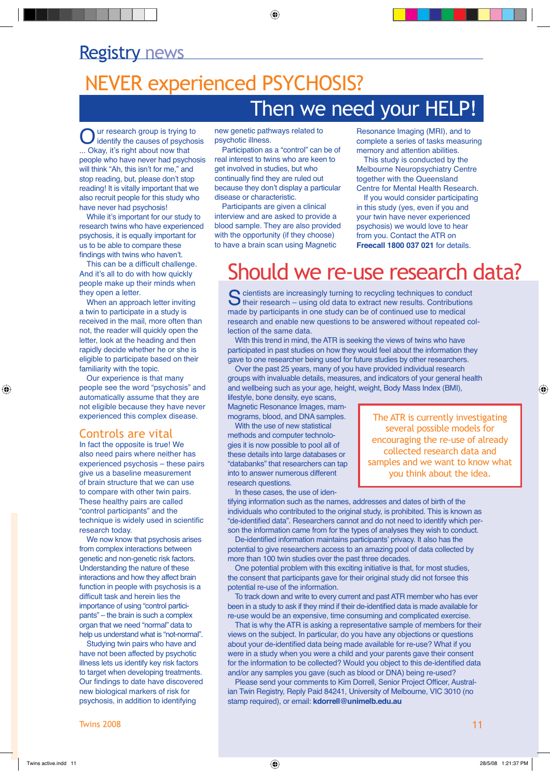## NEVER experienced PSYCHOSIS? Then we need your HELP!

◈

Our research group is trying to identify the causes of psychosis ... Okay, it's right about now that people who have never had psychosis will think "Ah, this isn't for me," and stop reading, but, please don't stop reading! It is vitally important that we also recruit people for this study who have never had psychosis!

While it's important for our study to research twins who have experienced psychosis, it is equally important for us to be able to compare these findings with twins who haven't.

This can be a difficult challenge. And it's all to do with how quickly people make up their minds when they open a letter.

When an approach letter inviting a twin to participate in a study is received in the mail, more often than not, the reader will quickly open the letter, look at the heading and then rapidly decide whether he or she is eligible to participate based on their familiarity with the topic.

Our experience is that many people see the word "psychosis" and automatically assume that they are not eligible because they have never experienced this complex disease.

### Controls are vital

In fact the opposite is true! We also need pairs where neither has experienced psychosis – these pairs give us a baseline measurement of brain structure that we can use to compare with other twin pairs. These healthy pairs are called "control participants" and the technique is widely used in scientific research today.

We now know that psychosis arises from complex interactions between genetic and non-genetic risk factors. Understanding the nature of these interactions and how they affect brain function in people with psychosis is a difficult task and herein lies the importance of using "control participants" – the brain is such a complex organ that we need "normal" data to help us understand what is "not-normal".

Studying twin pairs who have and have not been affected by psychotic illness lets us identify key risk factors to target when developing treatments. Our findings to date have discovered new biological markers of risk for psychosis, in addition to identifying

Twins 2008 **11**  $\frac{1}{2}$   $\frac{1}{2}$   $\frac{1}{2}$   $\frac{1}{2}$   $\frac{1}{2}$   $\frac{1}{2}$   $\frac{1}{2}$   $\frac{1}{2}$   $\frac{1}{2}$   $\frac{1}{2}$   $\frac{1}{2}$   $\frac{1}{2}$   $\frac{1}{2}$   $\frac{1}{2}$   $\frac{1}{2}$   $\frac{1}{2}$   $\frac{1}{2}$   $\frac{1}{2}$   $\frac{1}{2}$   $\frac{1}{2}$   $\frac{1$ 

new genetic pathways related to psychotic illness.

Participation as a "control" can be of real interest to twins who are keen to get involved in studies, but who continually find they are ruled out because they don't display a particular disease or characteristic.

Participants are given a clinical interview and are asked to provide a blood sample. They are also provided with the opportunity (if they choose) to have a brain scan using Magnetic

Resonance Imaging (MRI), and to complete a series of tasks measuring memory and attention abilities.

This study is conducted by the Melbourne Neuropsychiatry Centre together with the Queensland Centre for Mental Health Research.

If you would consider participating in this study (yes, even if you and your twin have never experienced psychosis) we would love to hear from you. Contact the ATR on **Freecall 1800 037 021** for details.

## Should we re-use research data?

Scientists are increasingly turning to recycling techniques to conduct their research – using old data to extract new results. Contributions made by participants in one study can be of continued use to medical research and enable new questions to be answered without repeated collection of the same data.

With this trend in mind, the ATR is seeking the views of twins who have participated in past studies on how they would feel about the information they gave to one researcher being used for future studies by other researchers.

Over the past 25 years, many of you have provided individual research groups with invaluable details, measures, and indicators of your general health and wellbeing such as your age, height, weight, Body Mass Index (BMI),

lifestyle, bone density, eye scans, Magnetic Resonance Images, mammograms, blood, and DNA samples.

With the use of new statistical methods and computer technologies it is now possible to pool all of these details into large databases or "databanks" that researchers can tap into to answer numerous different research questions.

In these cases, the use of iden-

collected research data and samples and we want to know what you think about the idea.

The ATR is currently investigating several possible models for encouraging the re-use of already ⊕

tifying information such as the names, addresses and dates of birth of the individuals who contributed to the original study, is prohibited. This is known as "de-identified data". Researchers cannot and do not need to identify which person the information came from for the types of analyses they wish to conduct.

De-identified information maintains participants' privacy. It also has the potential to give researchers access to an amazing pool of data collected by more than 100 twin studies over the past three decades.

One potential problem with this exciting initiative is that, for most studies, the consent that participants gave for their original study did not forsee this potential re-use of the information.

To track down and write to every current and past ATR member who has ever been in a study to ask if they mind if their de-identified data is made available for re-use would be an expensive, time consuming and complicated exercise.

That is why the ATR is asking a representative sample of members for their views on the subject. In particular, do you have any objections or questions about your de-identified data being made available for re-use? What if you were in a study when you were a child and your parents gave their consent for the information to be collected? Would you object to this de-identified data and/or any samples you gave (such as blood or DNA) being re-used?

Please send your comments to Kim Dorrell, Senior Project Officer, Australian Twin Registry, Reply Paid 84241, University of Melbourne, VIC 3010 (no stamp required), or email: **kdorrell@unimelb.edu.au**

⊕

Twins active.indd 11 28/5/08 1:21:37 PM